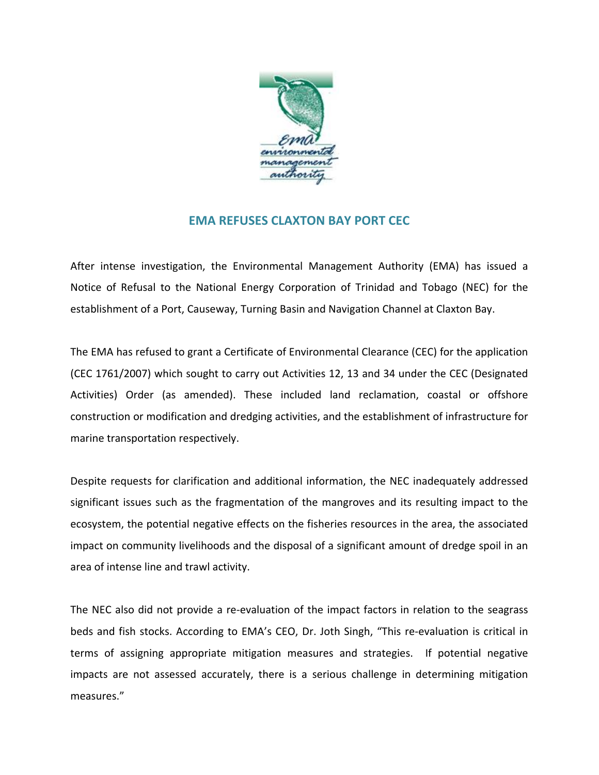

## **EMA REFUSES CLAXTON BAY PORT CEC**

After intense investigation, the Environmental Management Authority (EMA) has issued a Notice of Refusal to the National Energy Corporation of Trinidad and Tobago (NEC) for the establishment of a Port, Causeway, Turning Basin and Navigation Channel at Claxton Bay.

The EMA has refused to grant a Certificate of Environmental Clearance (CEC) for the application (CEC 1761/2007) which sought to carry out Activities 12, 13 and 34 under the CEC (Designated Activities) Order (as amended). These included land reclamation, coastal or offshore construction or modification and dredging activities, and the establishment of infrastructure for marine transportation respectively.

Despite requests for clarification and additional information, the NEC inadequately addressed significant issues such as the fragmentation of the mangroves and its resulting impact to the ecosystem, the potential negative effects on the fisheries resources in the area, the associated impact on community livelihoods and the disposal of a significant amount of dredge spoil in an area of intense line and trawl activity.

The NEC also did not provide a re-evaluation of the impact factors in relation to the seagrass beds and fish stocks. According to EMA's CEO, Dr. Joth Singh, "This re-evaluation is critical in terms of assigning appropriate mitigation measures and strategies. If potential negative impacts are not assessed accurately, there is a serious challenge in determining mitigation measures."